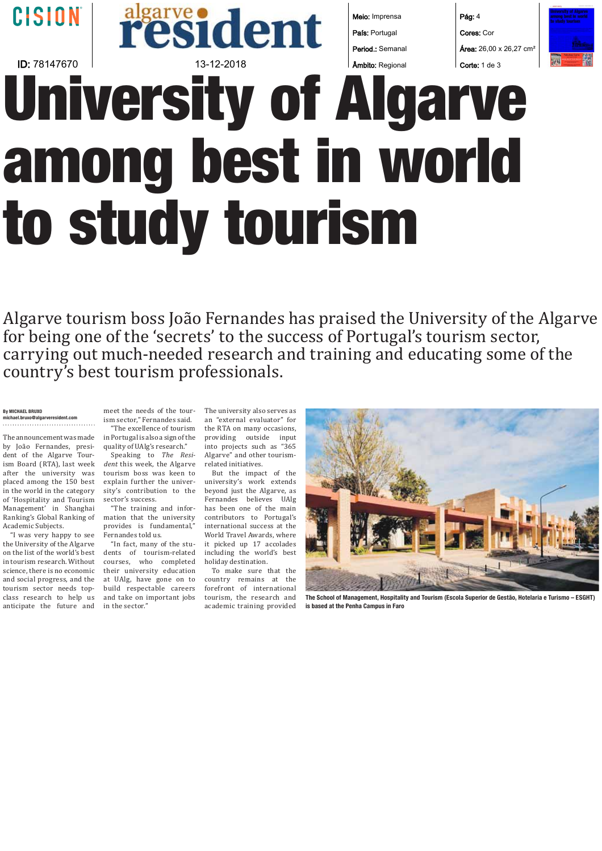## CISION | **resident** Meio: Imprensa Pág: 4 País: Portugal Cores: Cor Área: 26,00 x 26,27 cm² Period.: Semanal **ID:**  $78147670$  | Corte: 1 de 3  $\overline{13}$  -12-2018  $\overline{13}$  | Ambito: Regional  $\overline{13}$  Corte: 1 de 3 Âmbito: Regional **University of Algarve among best in world to study tourism**

Algarve tourism boss João Fernandes has praised the University of the Algarve for being one of the 'secrets' to the success of Portugal's tourism sector, carrying out much-needed research and training and educating some of the country's best tourism professionals.

#### **By MICHAEL BRUXO michael.bruxo@algarveresident.com**

The announcement was made by João Fernandes, president of the Algarve Tourism Board (RTA), last week after the university was placed among the 150 best in the world in the category of 'Hospitality and Tourism Management' in Shanghai Ranking's Global Ranking of Academic Subjects.

"I was very happy to see the University of the Algarve on the list of the world's best in tourism research. Without science, there is no economic and social progress, and the tourism sector needs topclass research to help us anticipate the future and

ism sector." Fernandes said.

quality of UAlg's research." *dent* this week, the Algarve related initiatives. tourism boss was keen to explain further the univer- university's work extends sity's contribution to the beyond just the Algarve, as sector's success.

mation that the university contributors to Portugal's provides is fundamental," Fernandes told us.

dents of tourism-related including the world's best courses, who completed holiday destination. their university education at UAlg, have gone on to build respectable careers and take on important jobs in the sector.'

meet the needs of the tour- The university also serves as "The excellence of tourism the RTA on many occasions, Speaking to *The Resi-* Algarve" and other tourisman "external evaluator" for into projects such as "365

"The training and infor- has been one of the main "In fact, many of the stu-  $\;$  it picked up 17 accolades But the impact of the Fernandes believes UAlg international success at the World Travel Awards, where

To make sure that the country remains at the forefront of international tourism, the research and academic training provided



**The School of Management, Hospitality and Tourism (Escola Superior de Gestão, Hotelaria e Turismo – ESGHT) is based at the Penha Campus in Faro**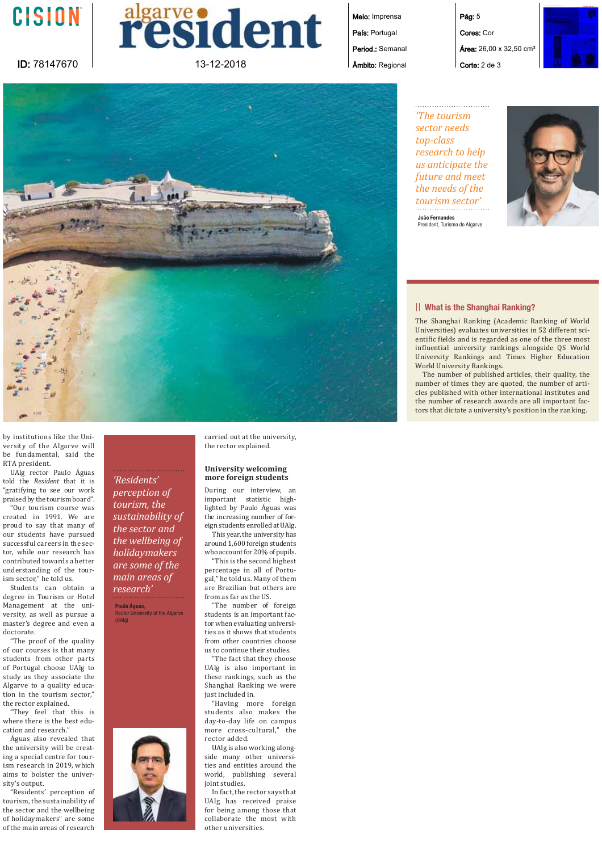



Meio: Imprensa País: Portugal

Period.: Semanal Âmbito: Regional





*'The tourism sector needs top-class research to help us anticipate the future and meet the needs of the tourism sector'* **João Fernandes** President, Turismo do Algarve



#### ȁȁ **What is the Shanghai Ranking?**

The Shanghai Ranking (Academic Ranking of World Universities) evaluates universities in 52 different scientific fields and is regarded as one of the three most influential university rankings alongside QS World University Rankings and Times Higher Education World University Rankings.

The number of published articles, their quality, the number of times they are quoted, the number of articles published with other international institutes and the number of research awards are all important factors that dictate a university's position in the ranking.

by institutions like the University of the Algarve will be fundamental, said the RTA president.

UAlg rector Paulo Águas told the *Resident* that it is "gratifying to see our work praised by the tourism board".

"Our tourism course was created in 1991. We are proud to say that many of our students have pursued successful careers in the sector, while our research has contributed towards a better understanding of the tourism sector," he told us.

Students can obtain a degree in Tourism or Hotel Management at the university, as well as pursue a master's degree and even a doctorate.

"The proof of the quality of our courses is that many students from other parts of Portugal choose UAlg to study as they associate the Algarve to a quality education in the tourism sector," the rector explained.

"They feel that this is where there is the best education and research."

Águas also revealed that the university will be creating a special centre for tourism research in 2019, which aims to bolster the university's output.

"Residents' perception of tourism, the sustainability of the sector and the wellbeing of holidaymakers" are some of the main areas of research

*'Residents' perception of tourism, the sustainability of the sector and the wellbeing of holidaymakers are some of the main areas of research'*

**Paulo Águas,**  Rector University of the Algarve (UAlg)

carried out at the university, the rector explained.

#### **University welcoming more foreign students**

During our interview, an important statistic highlighted by Paulo Águas was the increasing number of foreign students enrolled at UAlg.

This year, the university has around 1,600 foreign students who account for 20% of pupils.

This is the second highest percentage in all of Portugal," he told us. Many of them are Brazilian but others are from as far as the IIS

"The number of foreign students is an important factor when evaluating universities as it shows that students from other countries choose us to continue their studies.

"The fact that they choose UAlg is also important in these rankings, such as the Shanghai Ranking we were just included in.

"Having more foreign students also makes the day-to-day life on campus more cross-cultural," the hebbe zotor

UAlg is also working alongside many other universities and entities around the world, publishing several joint studies.

In fact, the rector says that UAlg has received praise for being among those that collaborate the most with other universities.